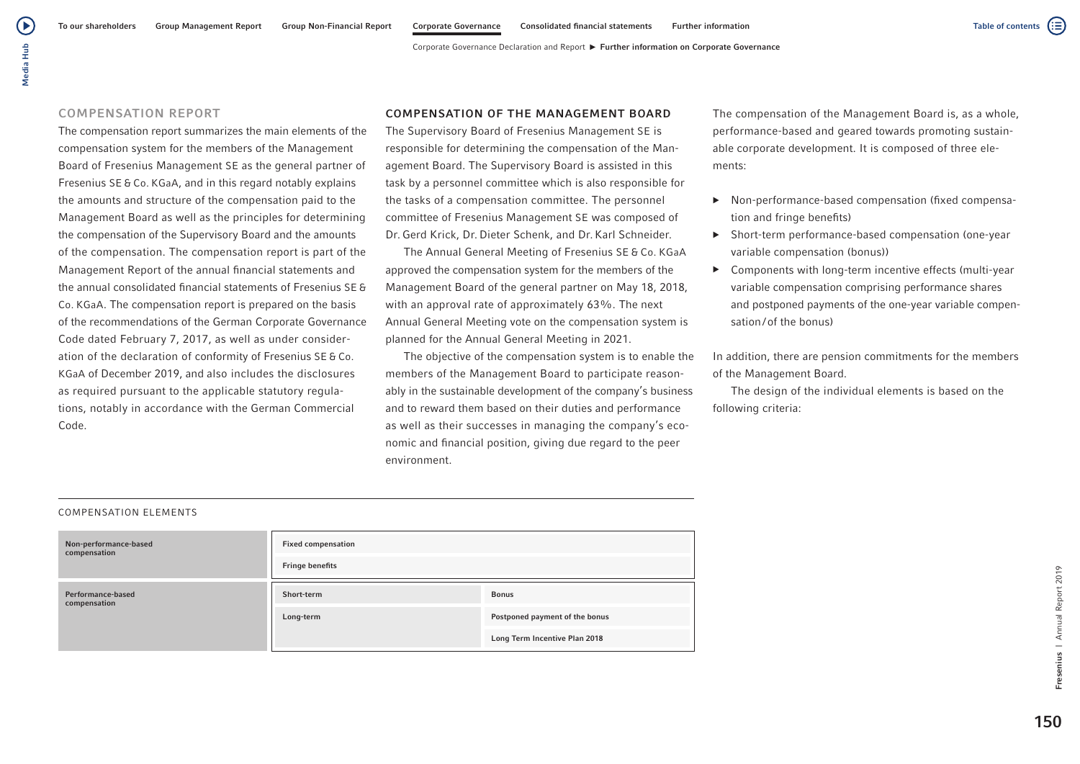# Media Hub Media Hub

( ▶

## COMPENSATION REPORT

The compensation report summarizes the main elements of the compensation system for the members of the Management Board of Fresenius Management SE as the general partner of Fresenius SE & Co. KGaA, and in this regard notably explains the amounts and structure of the compensation paid to the Management Board as well as the principles for determining the compensation of the Supervisory Board and the amounts of the compensation. The compensation report is part of the Management Report of the annual financial statements and the annual consolidated financial statements of Fresenius SE & Co. KGaA. The compensation report is prepared on the basis of the recommendations of the German Corporate Governance Code dated February 7, 2017, as well as under consideration of the declaration of conformity of Fresenius SE & Co. KGaA of December 2019, and also includes the disclosures as required pursuant to the applicable statutory regulations, notably in accordance with the German Commercial Code.

## COMPENSATION OF THE MANAGEMENT BOARD

The Supervisory Board of Fresenius Management SE is responsible for determining the compensation of the Management Board. The Supervisory Board is assisted in this task by a personnel committee which is also responsible for the tasks of a compensation committee. The personnel committee of Fresenius Management SE was composed of Dr. Gerd Krick, Dr. Dieter Schenk, and Dr. Karl Schneider.

The Annual General Meeting of Fresenius SE & Co. KGaA approved the compensation system for the members of the Management Board of the general partner on May 18, 2018, with an approval rate of approximately 63%. The next Annual General Meeting vote on the compensation system is planned for the Annual General Meeting in 2021.

The objective of the compensation system is to enable the members of the Management Board to participate reasonably in the sustainable development of the company's business and to reward them based on their duties and performance as well as their successes in managing the company's economic and financial position, giving due regard to the peer environment.

The compensation of the Management Board is, as a whole, performance-based and geared towards promoting sustainable corporate development. It is composed of three elements:

- ▶ Non-performance-based compensation (fixed compensation and fringe benefits)
- ▶ Short-term performance-based compensation (one-year variable compensation (bonus))
- ▶ Components with long-term incentive effects (multi-year variable compensation comprising performance shares and postponed payments of the one-year variable compensation/of the bonus)

In addition, there are pension commitments for the members of the Management Board.

The design of the individual elements is based on the following criteria:

## COMPENSATION ELEMENTS

| Non-performance-based<br>compensation | <b>Fixed compensation</b><br><b>Fringe benefits</b> |                                                                 |
|---------------------------------------|-----------------------------------------------------|-----------------------------------------------------------------|
| Performance-based<br>compensation     | Short-term                                          | <b>Bonus</b>                                                    |
|                                       | Long-term                                           | Postponed payment of the bonus<br>Long Term Incentive Plan 2018 |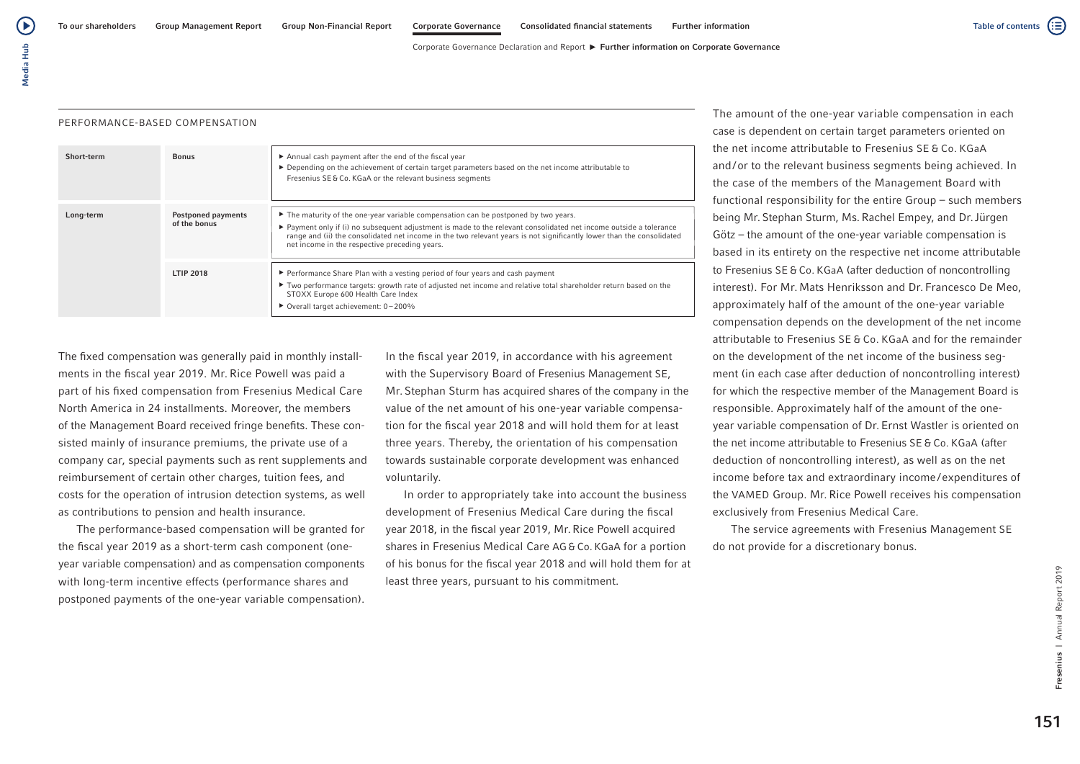Corporate Governance Declaration and Report  $\blacktriangleright$  Further information on Corporate Governance

## PERFORMANCE-BASED COMPENSATION

| Short-term | <b>Bonus</b>                              | Annual cash payment after the end of the fiscal year<br>▶ Depending on the achievement of certain target parameters based on the net income attributable to<br>Fresenius SE & Co. KGaA or the relevant business segments                                                                                                                                                                         |
|------------|-------------------------------------------|--------------------------------------------------------------------------------------------------------------------------------------------------------------------------------------------------------------------------------------------------------------------------------------------------------------------------------------------------------------------------------------------------|
| Long-term  | <b>Postponed payments</b><br>of the bonus | The maturity of the one-year variable compensation can be postponed by two years.<br>$\triangleright$ Payment only if (i) no subsequent adjustment is made to the relevant consolidated net income outside a tolerance<br>range and (ii) the consolidated net income in the two relevant years is not significantly lower than the consolidated<br>net income in the respective preceding years. |
|            | <b>LTIP 2018</b>                          | ► Performance Share Plan with a vesting period of four years and cash payment<br>Two performance targets: growth rate of adjusted net income and relative total shareholder return based on the<br>STOXX Europe 600 Health Care Index<br>▶ Overall target achievement: 0-200%                                                                                                                    |

The fixed compensation was generally paid in monthly installments in the fiscal year 2019. Mr. Rice Powell was paid a part of his fixed compensation from Fresenius Medical Care North America in 24 installments. Moreover, the members of the Management Board received fringe benefits. These consisted mainly of insurance premiums, the private use of a company car, special payments such as rent supplements and reimbursement of certain other charges, tuition fees, and costs for the operation of intrusion detection systems, as well as contributions to pension and health insurance.

The performance-based compensation will be granted for the fiscal year 2019 as a short-term cash component (oneyear variable compensation) and as compensation components with long-term incentive effects (performance shares and postponed payments of the one-year variable compensation).

In the fiscal year 2019, in accordance with his agreement with the Supervisory Board of Fresenius Management SE, Mr. Stephan Sturm has acquired shares of the company in the value of the net amount of his one-year variable compensation for the fiscal year 2018 and will hold them for at least three years. Thereby, the orientation of his compensation towards sustainable corporate development was enhanced voluntarily.

In order to appropriately take into account the business development of Fresenius Medical Care during the fiscal year 2018, in the fiscal year 2019, Mr.Rice Powell acquired shares in Fresenius Medical Care AG &Co. KGaA for a portion of his bonus for the fiscal year 2018 and will hold them for at least three years, pursuant to his commitment.

The amount of the one-year variable compensation in each case is dependent on certain target parameters oriented on the net income attributable to Fresenius SE & Co. KGaA and/or to the relevant business segments being achieved. In the case of the members of the Management Board with functional responsibility for the entire Group – such members being Mr. Stephan Sturm, Ms.Rachel Empey, and Dr.Jürgen Götz – the amount of the one-year variable compensation is based in its entirety on the respective net income attributable to Fresenius SE & Co. KGaA (after deduction of noncontrolling interest). For Mr. Mats Henriksson and Dr. Francesco De Meo, approximately half of the amount of the one-year variable compensation depends on the development of the net income attributable to Fresenius SE & Co. KGaA and for the remainder on the development of the net income of the business segment (in each case after deduction of noncontrolling interest) for which the respective member of the Management Board is responsible. Approximately half of the amount of the oneyear variable compensation of Dr.Ernst Wastler is oriented on the net income attributable to Fresenius SE & Co. KGaA (after deduction of noncontrolling interest), as well as on the net income before tax and extraordinary income/expenditures of the VAMED Group. Mr.Rice Powell receives his compensation exclusively from Fresenius Medical Care.

The service agreements with Fresenius Management SE do not provide for a discretionary bonus.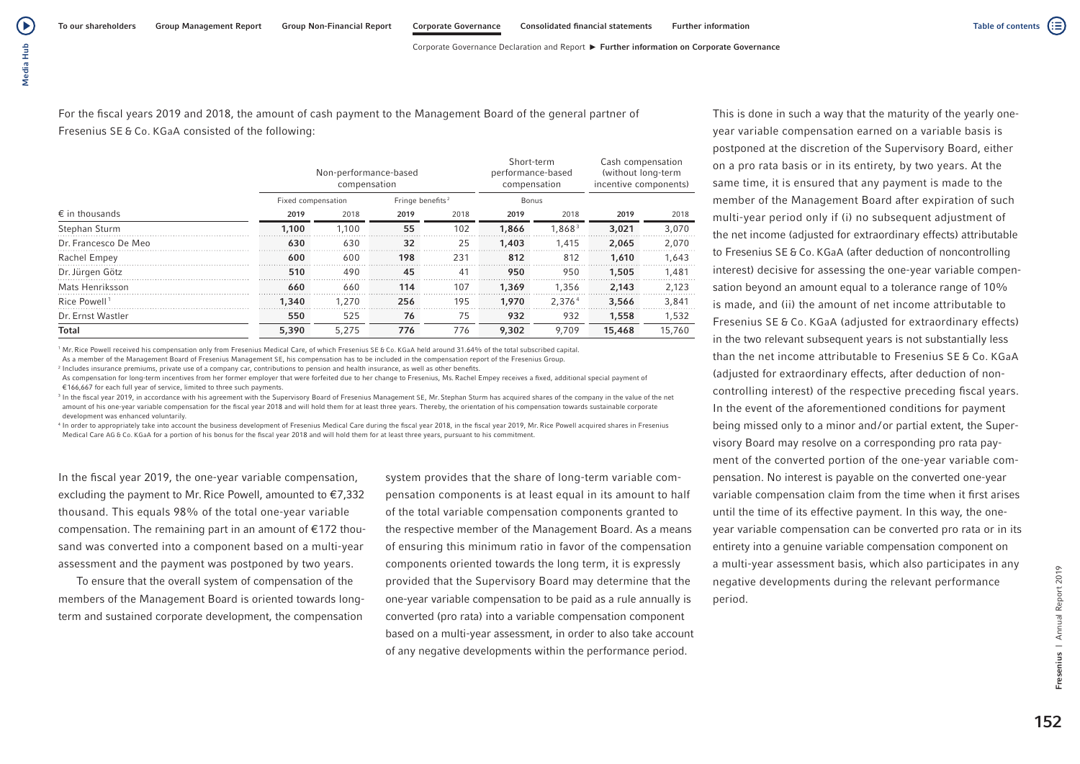Corporate Governance Declaration and Report ► Further information on Corporate Governance

For the fiscal years 2019 and 2018, the amount of cash payment to the Management Board of the general partner of Fresenius SE & Co. KGaA consisted of the following:

|                          |                    | Non-performance-based<br>compensation |                              |      | Short-term<br>performance-based<br>compensation |                    | Cash compensation<br>(without long-term<br>incentive components) |        |  |
|--------------------------|--------------------|---------------------------------------|------------------------------|------|-------------------------------------------------|--------------------|------------------------------------------------------------------|--------|--|
|                          | Fixed compensation |                                       | Fringe benefits <sup>2</sup> |      | Bonus                                           |                    |                                                                  |        |  |
| $\epsilon$ in thousands  | 2019               | 2018                                  | 2019                         | 2018 | 2019                                            | 2018               | 2019                                                             | 2018   |  |
| Stephan Sturm            | 1.100              | 1.100                                 | 55                           | 102  | 1,866                                           | 1.868 <sup>3</sup> | 3,021                                                            | 3,070  |  |
| Dr. Francesco De Meo     | 630                | 630                                   | 32                           | 25   | 1,403                                           | 1.415              | 2.065                                                            | 2.070  |  |
| Rachel Empey             | 600                | 600                                   | 198                          | 231  | 812                                             | 812                | 1,610                                                            | 1,643  |  |
| Dr. Jürgen Götz          | 510                | 490                                   | 45                           | 41   | 950                                             | 950                | 1,505                                                            | 1.481  |  |
| Mats Henriksson          | 660                | 660                                   | 114                          | 107  | 1,369                                           | 1.356              | 2,143                                                            | 2.123  |  |
| Rice Powell <sup>1</sup> | 1,340              | 1.270                                 | 256                          | 195  | 1,970                                           | 2.376 <sup>4</sup> | 3,566                                                            | 3,841  |  |
| Dr. Ernst Wastler        | 550                | 525                                   | 76                           | 75   | 932                                             | 932                | 1,558                                                            | 1,532  |  |
| Total                    | 5,390              | 5.275                                 | 776                          | 776  | 9.302<br>9.709                                  |                    | 15,468                                                           | 15,760 |  |

<sup>1</sup> Mr. Rice Powell received his compensation only from Fresenius Medical Care, of which Fresenius SE & Co. KGaA held around 31.64% of the total subscribed capital.

As a member of the Management Board of Fresenius Management SE, his compensation has to be included in the compensation report of the Fresenius Group.

<sup>2</sup> Includes insurance premiums, private use of a company car, contributions to pension and health insurance, as well as other benefits

As compensation for long-term incentives from her former employer that were forfeited due to her change to Fresenius, Ms. Rachel Empey receives a fixed, additional special payment of €166,667 for each full year of service, limited to three such payments.

<sup>3</sup> In the fiscal year 2019, in accordance with his agreement with the Supervisory Board of Fresenius Management SE, Mr. Stephan Sturm has acquired shares of the company in the value of the net amount of his one-year variable compensation for the fiscal year 2018 and will hold them for at least three years. Thereby, the orientation of his compensation towards sustainable corporate development was enhanced voluntarily.

<sup>4</sup> In order to appropriately take into account the business development of Fresenius Medical Care during the fiscal year 2018, in the fiscal year 2019, Mr. Rice Powell acquired shares in Fresenius Medical Care AG & Co. KGaA for a portion of his bonus for the fiscal year 2018 and will hold them for at least three years, pursuant to his commitment.

In the fiscal year 2019, the one-year variable compensation, excluding the payment to Mr. Rice Powell, amounted to  $\epsilon$ 7,332 thousand. This equals 98% of the total one-year variable compensation. The remaining part in an amount of €172 thousand was converted into a component based on a multi-year assessment and the payment was postponed by two years.

To ensure that the overall system of compensation of the members of the Management Board is oriented towards longterm and sustained corporate development, the compensation

system provides that the share of long-term variable compensation components is at least equal in its amount to half of the total variable compensation components granted to the respective member of the Management Board. As a means of ensuring this minimum ratio in favor of the compensation components oriented towards the long term, it is expressly provided that the Supervisory Board may determine that the one-year variable compensation to be paid as a rule annually is converted (pro rata) into a variable compensation component based on a multi-year assessment, in order to also take account of any negative developments within the performance period.

This is done in such a way that the maturity of the yearly oneyear variable compensation earned on a variable basis is postponed at the discretion of the Supervisory Board, either on a pro rata basis or in its entirety, by two years. At the same time, it is ensured that any payment is made to the member of the Management Board after expiration of such multi-year period only if (i) no subsequent adjustment of the net income (adjusted for extraordinary effects) attributable to Fresenius SE & Co. KGaA (after deduction of noncontrolling interest) decisive for assessing the one-year variable compensation beyond an amount equal to a tolerance range of 10% is made, and (ii) the amount of net income attributable to Fresenius SE & Co. KGaA (adjusted for extraordinary effects) in the two relevant subsequent years is not substantially less than the net income attributable to Fresenius SE & Co. KGaA (adjusted for extraordinary effects, after deduction of noncontrolling interest) of the respective preceding fiscal years. In the event of the aforementioned conditions for payment being missed only to a minor and/or partial extent, the Supervisory Board may resolve on a corresponding pro rata payment of the converted portion of the one-year variable compensation. No interest is payable on the converted one-year variable compensation claim from the time when it first arises until the time of its effective payment. In this way, the oneyear variable compensation can be converted pro rata or in its entirety into a genuine variable compensation component on a multi-year assessment basis, which also participates in any negative developments during the relevant performance period.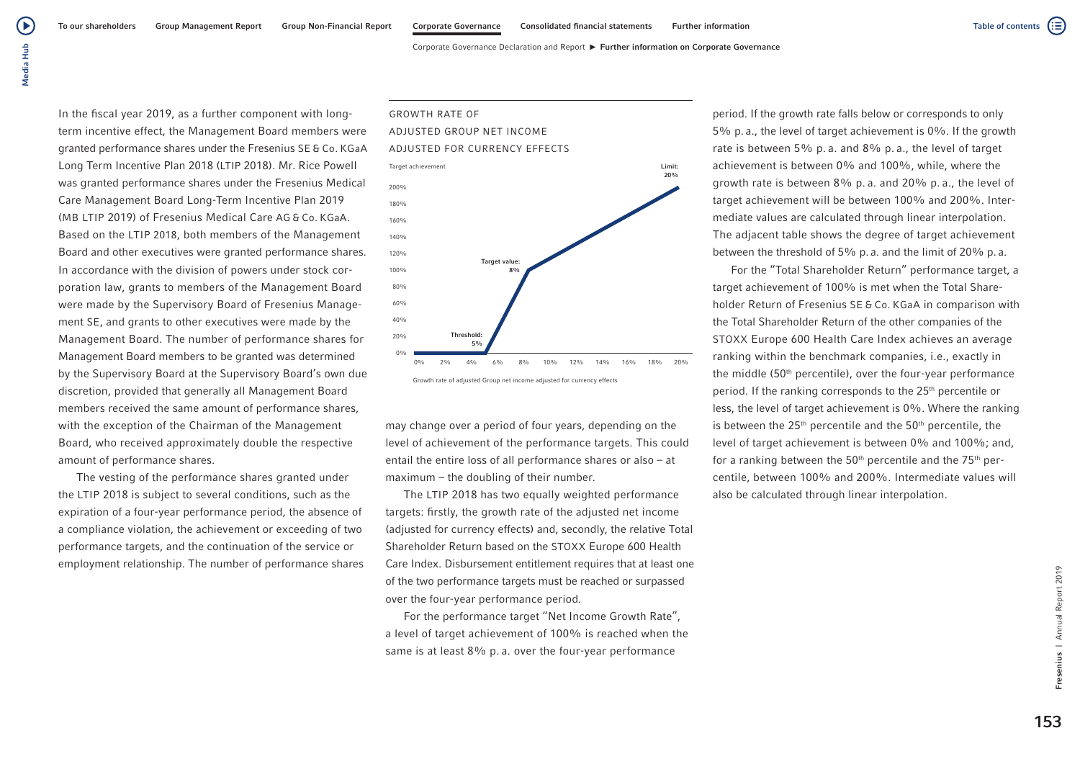Corporate Governance Declaration and Report ► Further information on Corporate Governance

In the fiscal year 2019, as a further component with longterm incentive effect, the Management Board members were granted performance shares under the Fresenius SE & Co. KGaA Long Term Incentive Plan 2018 (LTIP 2018). Mr. Rice Powell was granted performance shares under the Fresenius Medical Care Management Board Long-Term Incentive Plan 2019 (MB LTIP 2019) of Fresenius Medical Care AG & Co. KGaA. Based on the LTIP 2018, both members of the Management Board and other executives were granted performance shares. In accordance with the division of powers under stock corporation law, grants to members of the Management Board were made by the Supervisory Board of Fresenius Management SE, and grants to other executives were made by the Management Board. The number of performance shares for Management Board members to be granted was determined by the Supervisory Board at the Supervisory Board's own due discretion, provided that generally all Management Board members received the same amount of performance shares, with the exception of the Chairman of the Management Board, who received approximately double the respective amount of performance shares.

The vesting of the performance shares granted under the LTIP 2018 is subject to several conditions, such as the expiration of a four-year performance period, the absence of a compliance violation, the achievement or exceeding of two performance targets, and the continuation of the service or employment relationship. The number of performance shares



may change over a period of four years, depending on the level of achievement of the performance targets. This could entail the entire loss of all performance shares or also – at maximum – the doubling of their number.

The LTIP 2018 has two equally weighted performance targets: firstly, the growth rate of the adjusted net income (adjusted for currency effects) and, secondly, the relative Total Shareholder Return based on the STOXX Europe 600 Health Care Index. Disbursement entitlement requires that at least one of the two performance targets must be reached or surpassed over the four-year performance period.

For the performance target "Net Income Growth Rate", a level of target achievement of 100% is reached when the same is at least 8% p. a. over the four-year performance

period. If the growth rate falls below or corresponds to only 5% p. a., the level of target achievement is 0%. If the growth rate is between 5% p. a. and 8% p. a., the level of target achievement is between 0% and 100%, while, where the growth rate is between 8% p. a. and 20% p. a., the level of target achievement will be between 100% and 200%. Intermediate values are calculated through linear interpolation. The adjacent table shows the degree of target achievement between the threshold of 5% p. a. and the limit of 20% p. a.

For the "Total Shareholder Return" performance target, a target achievement of 100% is met when the Total Shareholder Return of Fresenius SE & Co. KGaA in comparison with the Total Shareholder Return of the other companies of the STOXX Europe 600 Health Care Index achieves an average ranking within the benchmark companies, i.e., exactly in the middle  $(50<sup>th</sup>$  percentile), over the four-year performance period. If the ranking corresponds to the 25<sup>th</sup> percentile or less, the level of target achievement is 0%. Where the ranking is between the  $25<sup>th</sup>$  percentile and the  $50<sup>th</sup>$  percentile, the level of target achievement is between 0% and 100%; and, for a ranking between the  $50<sup>th</sup>$  percentile and the  $75<sup>th</sup>$  percentile, between 100% and 200%. Intermediate values will also be calculated through linear interpolation.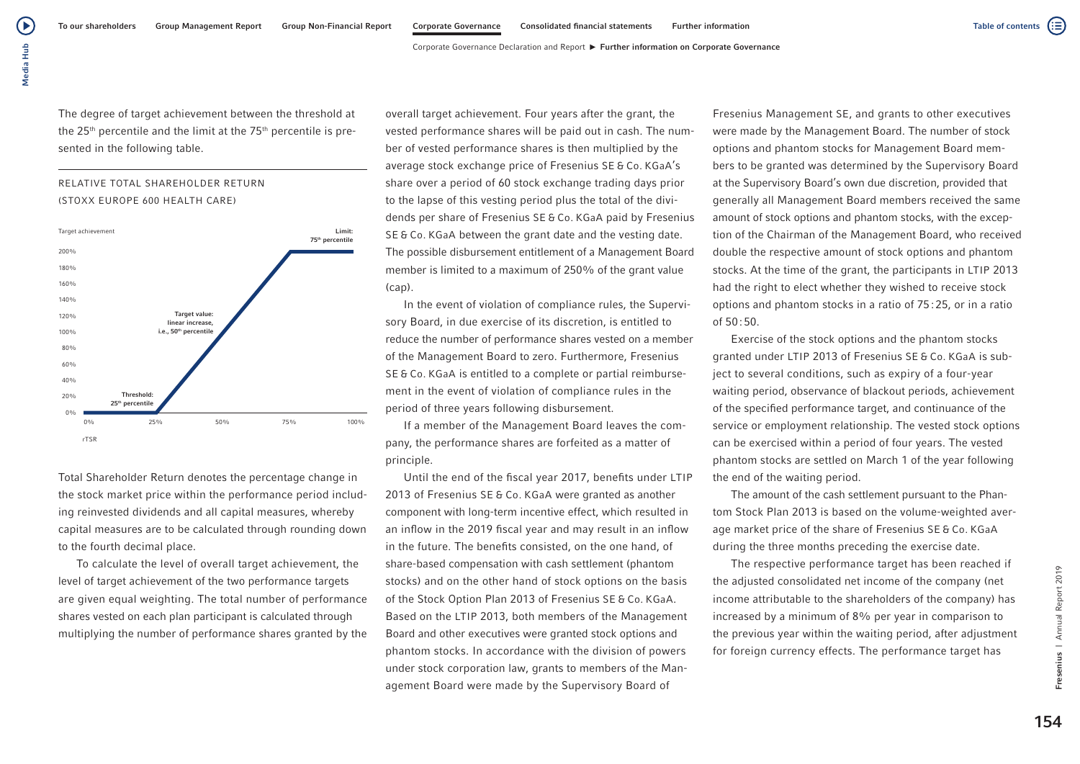Corporate Governance Declaration and Report ► Further information on Corporate Governance

The degree of target achievement between the threshold at the  $25<sup>th</sup>$  percentile and the limit at the  $75<sup>th</sup>$  percentile is presented in the following table.





Total Shareholder Return denotes the percentage change in the stock market price within the performance period including reinvested dividends and all capital measures, whereby capital measures are to be calculated through rounding down to the fourth decimal place.

To calculate the level of overall target achievement, the level of target achievement of the two performance targets are given equal weighting. The total number of performance shares vested on each plan participant is calculated through multiplying the number of performance shares granted by the overall target achievement. Four years after the grant, the vested performance shares will be paid out in cash. The number of vested performance shares is then multiplied by the average stock exchange price of Fresenius SE & Co. KGaA's share over a period of 60 stock exchange trading days prior to the lapse of this vesting period plus the total of the dividends per share of Fresenius SE & Co. KGaA paid by Fresenius SE & Co. KGaA between the grant date and the vesting date. The possible disbursement entitlement of a Management Board member is limited to a maximum of 250% of the grant value (cap).

In the event of violation of compliance rules, the Supervisory Board, in due exercise of its discretion, is entitled to reduce the number of performance shares vested on a member of the Management Board to zero. Furthermore, Fresenius SE & Co. KGaA is entitled to a complete or partial reimbursement in the event of violation of compliance rules in the period of three years following disbursement.

If a member of the Management Board leaves the company, the performance shares are forfeited as a matter of principle.

Until the end of the fiscal year 2017, benefits under LTIP 2013 of Fresenius SE & Co. KGaA were granted as another component with long-term incentive effect, which resulted in an inflow in the 2019 fiscal year and may result in an inflow in the future. The benefits consisted, on the one hand, of share-based compensation with cash settlement (phantom stocks) and on the other hand of stock options on the basis of the Stock Option Plan 2013 of Fresenius SE & Co. KGaA. Based on the LTIP 2013, both members of the Management Board and other executives were granted stock options and phantom stocks. In accordance with the division of powers under stock corporation law, grants to members of the Management Board were made by the Supervisory Board of

Fresenius Management SE, and grants to other executives were made by the Management Board. The number of stock options and phantom stocks for Management Board members to be granted was determined by the Supervisory Board at the Supervisory Board's own due discretion, provided that generally all Management Board members received the same amount of stock options and phantom stocks, with the exception of the Chairman of the Management Board, who received double the respective amount of stock options and phantom stocks. At the time of the grant, the participants in LTIP 2013 had the right to elect whether they wished to receive stock options and phantom stocks in a ratio of 75:25, or in a ratio of 50:50.

Exercise of the stock options and the phantom stocks granted under LTIP 2013 of Fresenius SE & Co. KGaA is subject to several conditions, such as expiry of a four-year waiting period, observance of blackout periods, achievement of the specified performance target, and continuance of the service or employment relationship. The vested stock options can be exercised within a period of four years. The vested phantom stocks are settled on March 1 of the year following the end of the waiting period.

The amount of the cash settlement pursuant to the Phantom Stock Plan 2013 is based on the volume-weighted average market price of the share of Fresenius SE & Co. KGaA during the three months preceding the exercise date.

The respective performance target has been reached if the adjusted consolidated net income of the company (net income attributable to the shareholders of the company) has increased by a minimum of 8% per year in comparison to the previous year within the waiting period, after adjustment for foreign currency effects. The performance target has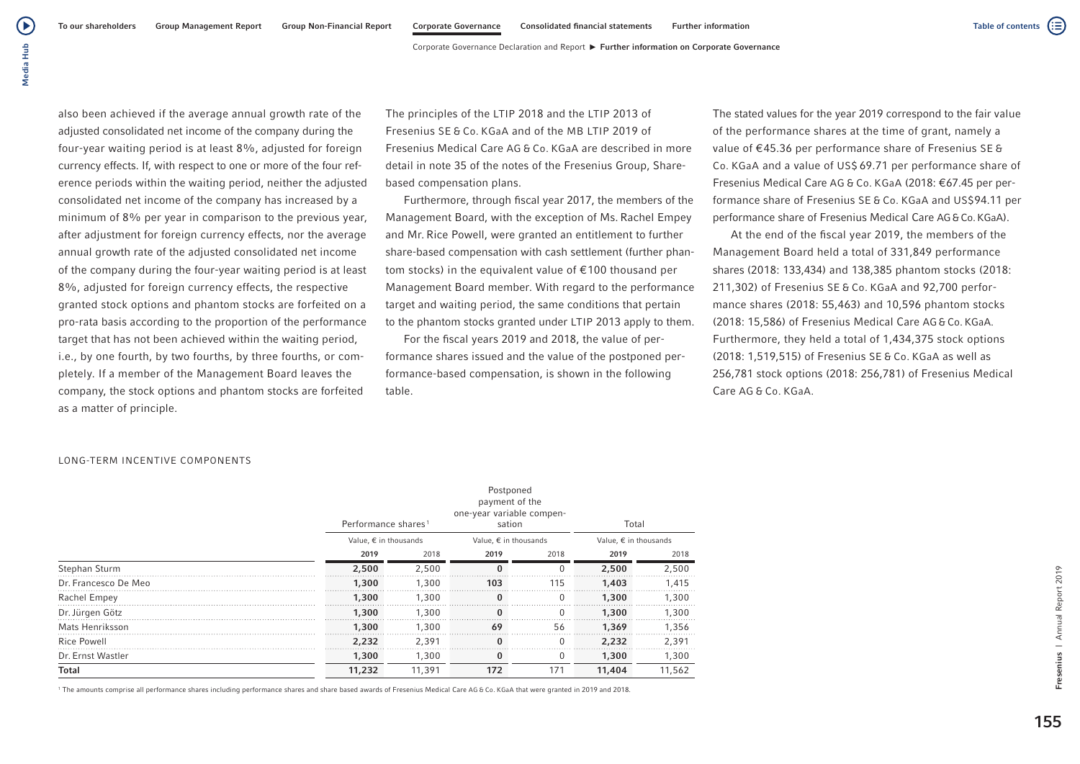(▶

also been achieved if the average annual growth rate of the adjusted consolidated net income of the company during the four-year waiting period is at least 8%, adjusted for foreign currency effects. If, with respect to one or more of the four reference periods within the waiting period, neither the adjusted consolidated net income of the company has increased by a minimum of 8% per year in comparison to the previous year, after adjustment for foreign currency effects, nor the average annual growth rate of the adjusted consolidated net income of the company during the four-year waiting period is at least 8%, adjusted for foreign currency effects, the respective granted stock options and phantom stocks are forfeited on a pro-rata basis according to the proportion of the performance target that has not been achieved within the waiting period, i.e., by one fourth, by two fourths, by three fourths, or completely. If a member of the Management Board leaves the company, the stock options and phantom stocks are forfeited as a matter of principle.

The principles of the LTIP 2018 and the LTIP 2013 of Fresenius SE & Co. KGaA and of the MB LTIP 2019 of Fresenius Medical Care AG & Co. KGaA are described in more detail in note 35 of the notes of the Fresenius Group, Sharebased compensation plans.

Furthermore, through fiscal year 2017, the members of the Management Board, with the exception of Ms. Rachel Empey and Mr. Rice Powell, were granted an entitlement to further share-based compensation with cash settlement (further phantom stocks) in the equivalent value of €100 thousand per Management Board member. With regard to the performance target and waiting period, the same conditions that pertain to the phantom stocks granted under LTIP 2013 apply to them.

For the fiscal years 2019 and 2018, the value of performance shares issued and the value of the postponed performance-based compensation, is shown in the following table.

The stated values for the year 2019 correspond to the fair value of the performance shares at the time of grant, namely a value of €45.36 per performance share of Fresenius SE & Co. KGaA and a value of US\$ 69.71 per performance share of Fresenius Medical Care AG & Co. KGaA (2018: €67.45 per performance share of Fresenius SE & Co. KGaA and US\$94.11 per performance share of Fresenius Medical Care AG&Co.KGaA).

At the end of the fiscal year 2019, the members of the Management Board held a total of 331,849 performance shares (2018: 133,434) and 138,385 phantom stocks (2018: 211,302) of Fresenius SE & Co. KGaA and 92,700 performance shares (2018: 55,463) and 10,596 phantom stocks (2018: 15,586) of Fresenius Medical Care AG &Co. KGaA. Furthermore, they held a total of 1,434,375 stock options (2018: 1,519,515) of Fresenius SE & Co. KGaA as well as 256,781 stock options (2018: 256,781) of Fresenius Medical Care AG & Co. KGaA.

LONG-TERM INCENTIVE COMPONENTS

|                      | Performance shares <sup>1</sup> |        | Postponed<br>payment of the<br>one-year variable compen-<br>sation |          | Total                          |        |  |  |
|----------------------|---------------------------------|--------|--------------------------------------------------------------------|----------|--------------------------------|--------|--|--|
|                      | Value, $\epsilon$ in thousands  |        | Value, $\epsilon$ in thousands                                     |          | Value, $\epsilon$ in thousands |        |  |  |
|                      | 2019                            | 2018   | 2019                                                               | 2018     | 2019                           | 2018   |  |  |
| Stephan Sturm        | 2,500                           | 2,500  | $\Omega$                                                           | $\Omega$ | 2,500                          | 2,500  |  |  |
| Dr. Francesco De Meo | 1,300                           | 1,300  | 103                                                                | 115      | 1,403                          | 1.415  |  |  |
| Rachel Empey         | 1,300                           | 1,300  |                                                                    |          | 1,300                          | 1.300  |  |  |
| Dr. Jürgen Götz      | 1,300                           | 1.300  |                                                                    |          | 1,300                          | 1.300  |  |  |
| Mats Henriksson      | 1,300                           | 1.300  | 69                                                                 | 56       | 1,369                          | 1,356  |  |  |
| <b>Rice Powell</b>   | 2.232                           | 2,391  | $\Omega$                                                           | $\Omega$ | 2,232                          | 2,391  |  |  |
| Dr. Ernst Wastler    | 1,300                           | 1,300  | 0                                                                  | $\Omega$ | 1,300                          | 1,300  |  |  |
| Total                | 11,232                          | 11,391 | 172                                                                | 171      | 11,404                         | 11,562 |  |  |

1 The amounts comprise all performance shares including performance shares and share based awards of Fresenius Medical Care AG & Co. KGaA that were granted in 2019 and 2018.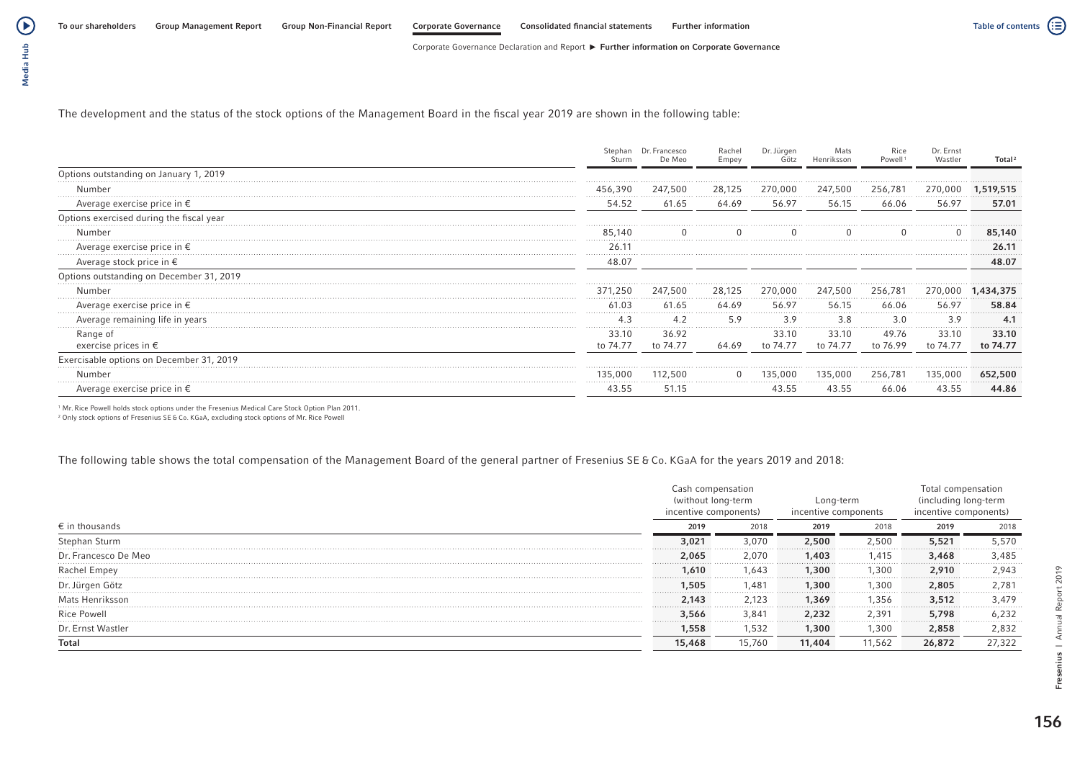Corporate Governance Declaration and Report  $\blacktriangleright$  Further information on Corporate Governance

The development and the status of the stock options of the Management Board in the fiscal year 2019 are shown in the following table:

|                                           |                   | Francesco<br>De Meo | Rachel<br>Empey | Dr. Jürgen        |                   | Powel             | Wastler           | Total             |
|-------------------------------------------|-------------------|---------------------|-----------------|-------------------|-------------------|-------------------|-------------------|-------------------|
| Options outstanding on January 1, 2019    |                   |                     |                 |                   |                   |                   |                   |                   |
|                                           |                   | 247,500             | 28,125          | 270,000           | 247,500           | 256,781           | 270.000           |                   |
| Average exercise price in $\epsilon$      | 54.52             | 61.65               | 64.69           | 56.97             | 56.15             | 66.06             | 56.97             | 57.01             |
| Options exercised during the fiscal year  |                   |                     |                 |                   |                   |                   |                   |                   |
|                                           | 85.140            |                     |                 |                   |                   |                   |                   | 85,140            |
| Average exercise price in $\epsilon$      | 26.1              |                     |                 |                   |                   |                   |                   | 26.11             |
| Average stock price in $\epsilon$         | 48.07             |                     |                 |                   |                   |                   |                   | 48.07             |
| Options outstanding on December 31, 2019  |                   |                     |                 |                   |                   |                   |                   |                   |
|                                           | 371,250           | 247,500<br>.        | 28,125          | 270,000           | 247,500           | 256,781           | 270,000           |                   |
| Average exercise price in $\epsilon$      | 61 03             | 61.65               | 64.69           | 56.97             | 56.15<br>.        | 66.06<br>.        | 5697<br>.         | 58.84             |
| Average remaining life in years           |                   | 4.2                 | 5.9             | 3.9               | 3.8               | 3.0<br>.          | 3.9               | 4.1               |
| Range of<br>exercise prices in $\epsilon$ | 33.10<br>to 74.77 | 36.92<br>to 74.77   | 64.69           | 33.10<br>to 74.77 | 33.10<br>to 74.77 | 49.76<br>to 76.99 | 33.10<br>to 74.77 | 33.10<br>to 74.77 |
| Exercisable options on December 31, 2019  |                   |                     |                 |                   |                   |                   |                   |                   |
|                                           | 135 000           | 112.500             |                 | 135.000           | 135.000           | 256.781           | 135.000           | 652.500           |
| Average exercise price in $\epsilon$      | 43.55             | 51.15               |                 | 43.55             | 43.55             | 66.06             |                   | 44.86             |

1 Mr. Rice Powell holds stock options under the Fresenius Medical Care Stock Option Plan 2011.

2 Only stock options of Fresenius SE & Co. KGaA, excluding stock options of Mr. Rice Powell

The following table shows the total compensation of the Management Board of the general partner of Fresenius SE & Co. KGaA for the years 2019 and 2018:

|                         | Cash compensation<br>(without long-term<br>incentive components) |        | Long-term<br>incentive components |       | Total compensation<br>(including long-term)<br>incentive components) |        |  |
|-------------------------|------------------------------------------------------------------|--------|-----------------------------------|-------|----------------------------------------------------------------------|--------|--|
| $\epsilon$ in thousands | 2019                                                             | 2018   | 2019                              | 2018  | 2019                                                                 | 2018   |  |
| Stephan Sturm           | 3.021                                                            | 3.070  | 2,500                             | 2,500 | 5,521                                                                | 5,570  |  |
| Dr. Francesco De Meo    | 2.065                                                            | 2.070  | 1,403                             | l.415 | 3,468                                                                | 3,485  |  |
| <b>Rachel Empey</b>     | 1.610                                                            | 1.643  | 1,300                             | 1.300 | 2.910                                                                | 2,943  |  |
| Dr. Jürgen Götz         | .505                                                             | 481.،  | 300,١                             | 1,300 | 2,805                                                                | 2,781  |  |
| Mats Henriksson         | 2.143                                                            | 2,123  | 1,369                             | l,356 | 3,512                                                                | 3.479  |  |
| Rice Powell             | 3,566                                                            | 3.841  | 2,232                             | 2,391 | 5,798                                                                | 6,232  |  |
| Dr. Ernst Wastler       | 1,558                                                            | 1,532  | 1,300                             | 1,300 | 2,858                                                                | 2,832  |  |
| Total                   | 15,468                                                           | 15,760 | 11,404                            | 1,562 | 26,872                                                               | 27,322 |  |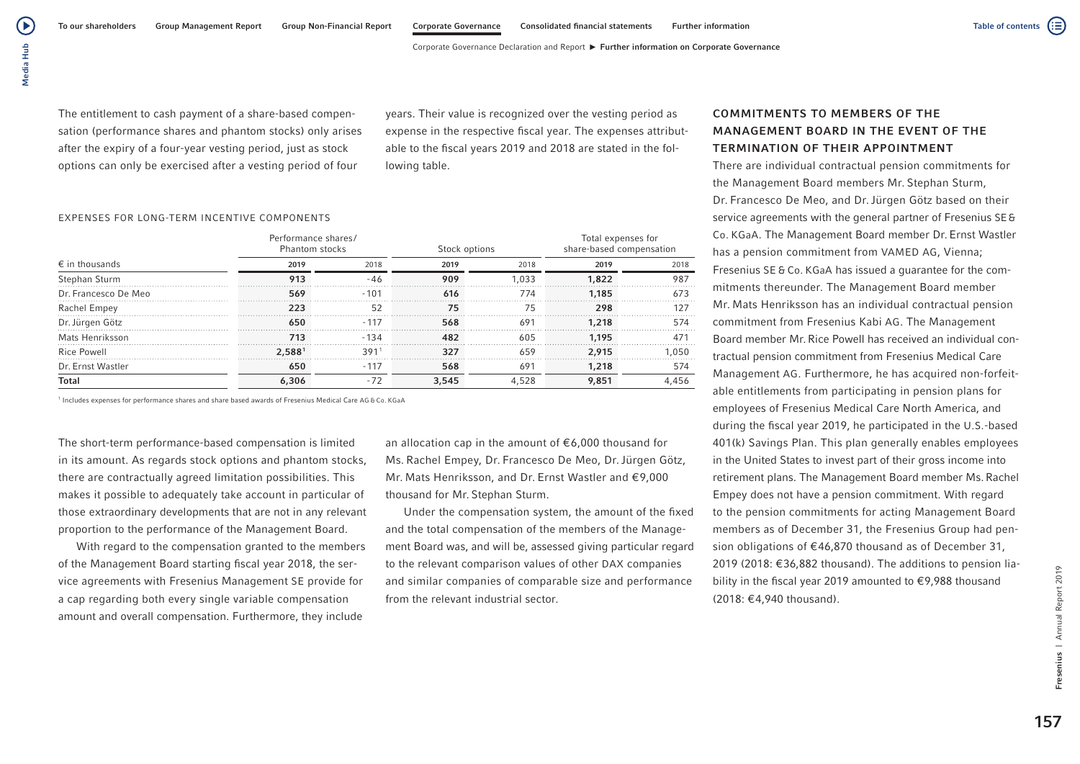( ▶

The entitlement to cash payment of a share-based compensation (performance shares and phantom stocks) only arises after the expiry of a four-year vesting period, just as stock options can only be exercised after a vesting period of four

years. Their value is recognized over the vesting period as expense in the respective fiscal year. The expenses attributable to the fiscal years 2019 and 2018 are stated in the following table.

### EXPENSES FOR LONG-TERM INCENTIVE COMPONENTS

|                         | Performance shares/<br>Phantom stocks |        | Stock options |       | Total expenses for<br>share-based compensation |       |  |
|-------------------------|---------------------------------------|--------|---------------|-------|------------------------------------------------|-------|--|
| $\epsilon$ in thousands | 2019                                  | 2018   | 2019          | 2018  | 2019                                           | 2018  |  |
| Stephan Sturm           | 913                                   | -46    | 909           | .033  | 1,822                                          | 987   |  |
| Dr. Francesco De Meo    | 569                                   | $-101$ | 616           | 774   | 1.185                                          | 673   |  |
| Rachel Empey            | つつっ                                   | 52     |               | 75    | 298                                            |       |  |
| Dr. Jürgen Götz         | 650                                   | $-117$ | 568           | 691   | 1,218                                          | 574   |  |
| Mats Henriksson         | 713                                   | $-134$ | 482           | 605   | 1.195                                          |       |  |
| <b>Rice Powell</b>      | 2.5881                                | 391    | 327           | 659   | 2.915                                          | .050  |  |
| Dr. Ernst Wastler       | 650                                   | $-117$ | 568           | 691   | 1,218                                          | 574   |  |
| <b>Total</b>            | 6,306                                 | -72    | 3,545         | 4.528 | 9,851                                          | 4.456 |  |

1 Includes expenses for performance shares and share based awards of Fresenius Medical Care AG & Co. KGaA

The short-term performance-based compensation is limited in its amount. As regards stock options and phantom stocks, there are contractually agreed limitation possibilities. This makes it possible to adequately take account in particular of those extraordinary developments that are not in any relevant proportion to the performance of the Management Board.

With regard to the compensation granted to the members of the Management Board starting fiscal year 2018, the service agreements with Fresenius Management SE provide for a cap regarding both every single variable compensation amount and overall compensation. Furthermore, they include

an allocation cap in the amount of €6,000 thousand for Ms. Rachel Empey, Dr. Francesco De Meo, Dr.Jürgen Götz, Mr. Mats Henriksson, and Dr. Ernst Wastler and €9,000 thousand for Mr. Stephan Sturm.

Under the compensation system, the amount of the fixed and the total compensation of the members of the Management Board was, and will be, assessed giving particular regard to the relevant comparison values of other DAX companies and similar companies of comparable size and performance from the relevant industrial sector.

## COMMITMENTS TO MEMBERS OF THE MANAGEMENT BOARD IN THE EVENT OF THE TERMINATION OF THEIR APPOINTMENT

There are individual contractual pension commitments for the Management Board members Mr. Stephan Sturm, Dr. Francesco De Meo, and Dr.Jürgen Götz based on their service agreements with the general partner of Fresenius SE& Co. KGaA. The Management Board member Dr. Ernst Wastler has a pension commitment from VAMED AG, Vienna; Fresenius SE & Co. KGaA has issued a guarantee for the commitments thereunder. The Management Board member Mr. Mats Henriksson has an individual contractual pension commitment from Fresenius Kabi AG. The Management Board member Mr.Rice Powell has received an individual contractual pension commitment from Fresenius Medical Care Management AG. Furthermore, he has acquired non-forfeitable entitlements from participating in pension plans for employees of Fresenius Medical Care North America, and during the fiscal year 2019, he participated in the U.S.-based 401(k) Savings Plan. This plan generally enables employees in the United States to invest part of their gross income into retirement plans. The Management Board member Ms.Rachel Empey does not have a pension commitment. With regard to the pension commitments for acting Management Board members as of December 31, the Fresenius Group had pension obligations of €46,870 thousand as of December 31, 2019 (2018: €36,882 thousand). The additions to pension liability in the fiscal year 2019 amounted to €9,988 thousand (2018: €4,940 thousand).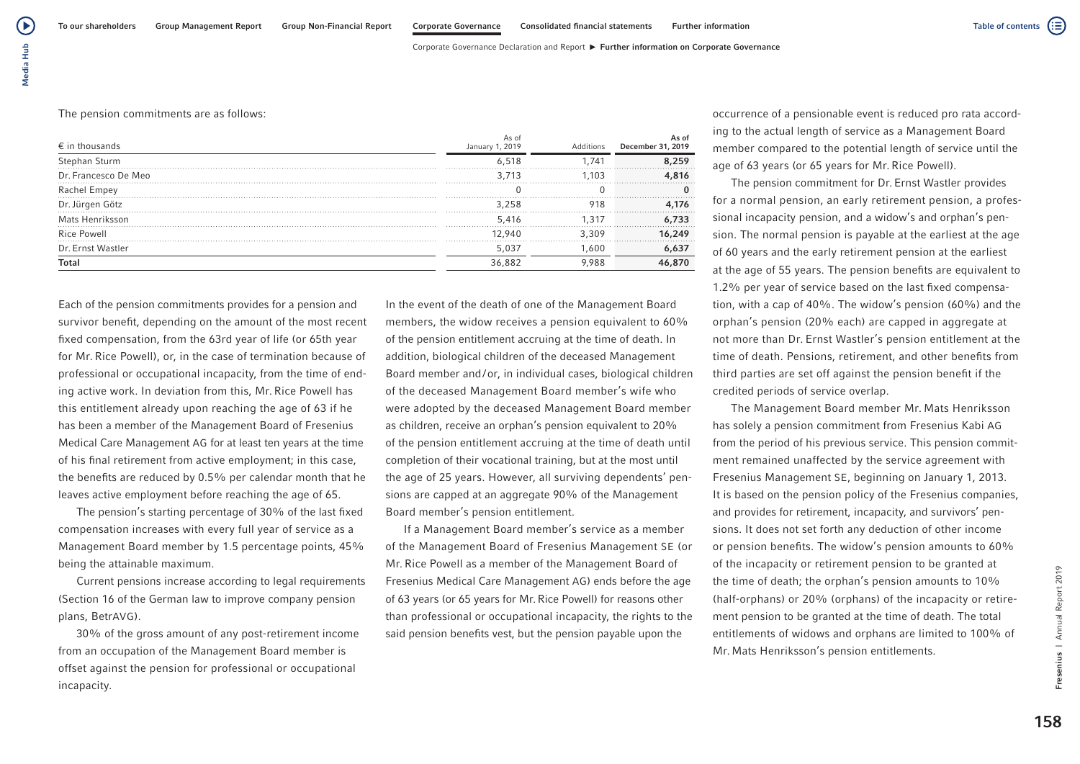Corporate Governance Declaration and Report ▶ Further information on Corporate Governance

### The pension commitments are as follows:

| $\epsilon$ in thousands | As of<br>January 1, 2019 | Additions | As of<br>December 31, 2019 |
|-------------------------|--------------------------|-----------|----------------------------|
| Stephan Sturm           | 6.518                    | .741      | 8.259                      |
| Dr. Francesco De Meo    | 3 713                    | 103       | .816                       |
| Rachel Empey            |                          |           |                            |
| Dr. Jürgen Götz         | 3 258                    | 918       | .176                       |
| Mats Henriksson         | 5.416                    | -31       | 6.733                      |
| <b>Rice Powell</b>      | 2 940                    | 3.309     | 16,249                     |
| Dr. Ernst Wastler       | 5,037                    | .600      | 6,637                      |
|                         |                          |           |                            |

Each of the pension commitments provides for a pension and survivor benefit, depending on the amount of the most recent fixed compensation, from the 63rd year of life (or 65th year for Mr. Rice Powell), or, in the case of termination because of professional or occupational incapacity, from the time of ending active work. In deviation from this, Mr. Rice Powell has this entitlement already upon reaching the age of 63 if he has been a member of the Management Board of Fresenius Medical Care Management AG for at least ten years at the time of his final retirement from active employment; in this case, the benefits are reduced by 0.5% per calendar month that he leaves active employment before reaching the age of 65.

The pension's starting percentage of 30% of the last fixed compensation increases with every full year of service as a Management Board member by 1.5 percentage points, 45% being the attainable maximum.

Current pensions increase according to legal requirements (Section 16 of the German law to improve company pension plans, BetrAVG).

30% of the gross amount of any post-retirement income from an occupation of the Management Board member is offset against the pension for professional or occupational incapacity.

In the event of the death of one of the Management Board members, the widow receives a pension equivalent to 60% of the pension entitlement accruing at the time of death. In addition, biological children of the deceased Management Board member and/or, in individual cases, biological children of the deceased Management Board member's wife who were adopted by the deceased Management Board member as children, receive an orphan's pension equivalent to 20% of the pension entitlement accruing at the time of death until completion of their vocational training, but at the most until the age of 25 years. However, all surviving dependents' pensions are capped at an aggregate 90% of the Management Board member's pension entitlement.

If a Management Board member's service as a member of the Management Board of Fresenius Management SE (or Mr. Rice Powell as a member of the Management Board of Fresenius Medical Care Management AG) ends before the age of 63 years (or 65 years for Mr.Rice Powell) for reasons other than professional or occupational incapacity, the rights to the said pension benefits vest, but the pension payable upon the

occurrence of a pensionable event is reduced pro rata according to the actual length of service as a Management Board member compared to the potential length of service until the age of 63 years (or 65 years for Mr. Rice Powell).

The pension commitment for Dr.Ernst Wastler provides for a normal pension, an early retirement pension, a professional incapacity pension, and a widow's and orphan's pension. The normal pension is payable at the earliest at the age of 60 years and the early retirement pension at the earliest at the age of 55 years. The pension benefits are equivalent to 1.2% per year of service based on the last fixed compensation, with a cap of 40%. The widow's pension (60%) and the orphan's pension (20% each) are capped in aggregate at not more than Dr. Ernst Wastler's pension entitlement at the time of death. Pensions, retirement, and other benefits from third parties are set off against the pension benefit if the credited periods of service overlap.

The Management Board member Mr. Mats Henriksson has solely a pension commitment from Fresenius Kabi AG from the period of his previous service. This pension commitment remained unaffected by the service agreement with Fresenius Management SE, beginning on January 1, 2013. It is based on the pension policy of the Fresenius companies, and provides for retirement, incapacity, and survivors' pensions. It does not set forth any deduction of other income or pension benefits. The widow's pension amounts to 60% of the incapacity or retirement pension to be granted at the time of death; the orphan's pension amounts to 10% (half-orphans) or 20% (orphans) of the incapacity or retirement pension to be granted at the time of death. The total entitlements of widows and orphans are limited to 100% of Mr. Mats Henriksson's pension entitlements.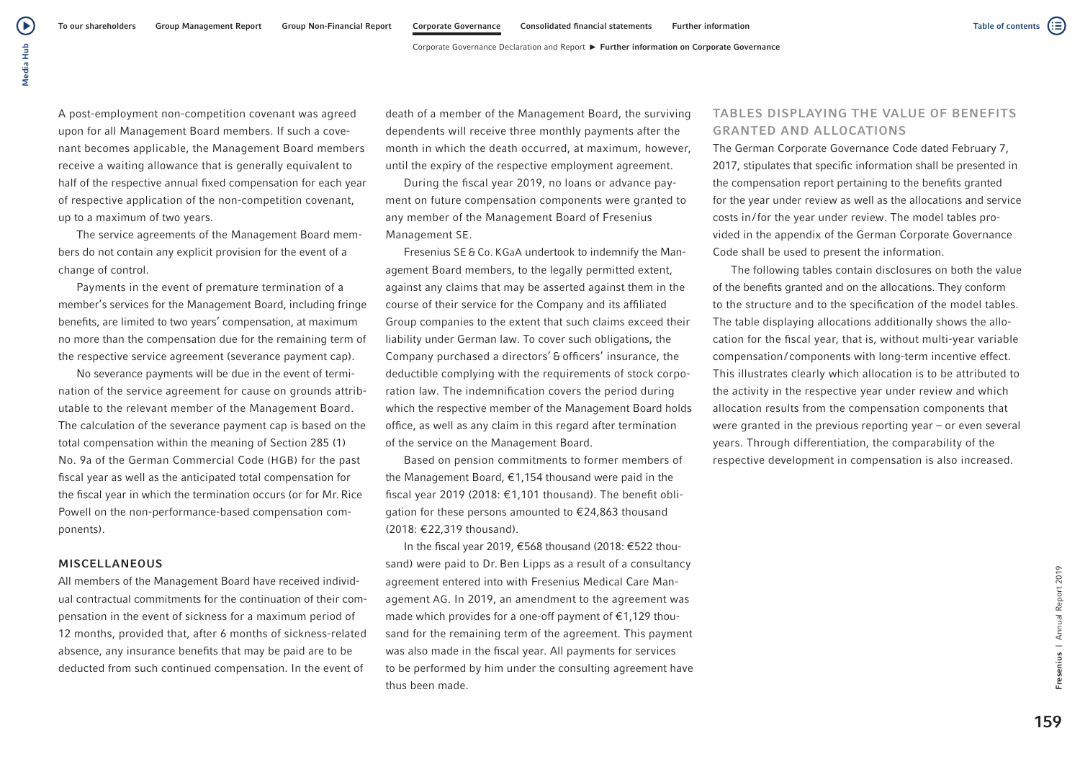Table of contents

A post-employment non-competition covenant was agreed upon for all Management Board members. If such a covenant becomes applicable, the Management Board members receive a waiting allowance that is generally equivalent to half of the respective annual fixed compensation for each year of respective application of the non-competition covenant, up to a maximum of two years.

The service agreements of the Management Board members do not contain any explicit provision for the event of a change of control.

Payments in the event of premature termination of a member's services for the Management Board, including fringe benefits, are limited to two years' compensation, at maximum no more than the compensation due for the remaining term of the respective service agreement (severance payment cap).

No severance payments will be due in the event of termination of the service agreement for cause on grounds attributable to the relevant member of the Management Board. The calculation of the severance payment cap is based on the total compensation within the meaning of Section 285 (1) No. 9a of the German Commercial Code (HGB) for the past fiscal year as well as the anticipated total compensation for the fiscal year in which the termination occurs (or for Mr.Rice Powell on the non-performance-based compensation components).

#### MISCELLANEOUS

All members of the Management Board have received individual contractual commitments for the continuation of their compensation in the event of sickness for a maximum period of 12 months, provided that, after 6 months of sickness-related absence, any insurance benefits that may be paid are to be deducted from such continued compensation. In the event of

death of a member of the Management Board, the surviving dependents will receive three monthly payments after the month in which the death occurred, at maximum, however, until the expiry of the respective employment agreement.

During the fiscal year 2019, no loans or advance payment on future compensation components were granted to any member of the Management Board of Fresenius Management SE.

Fresenius SE & Co. KGaA undertook to indemnify the Management Board members, to the legally permitted extent, against any claims that may be asserted against them in the course of their service for the Company and its affiliated Group companies to the extent that such claims exceed their liability under German law. To cover such obligations, the Company purchased a directors' & officers' insurance, the deductible complying with the requirements of stock corporation law. The indemnification covers the period during which the respective member of the Management Board holds office, as well as any claim in this regard after termination of the service on the Management Board.

Based on pension commitments to former members of the Management Board, €1,154 thousand were paid in the fiscal year 2019 (2018: €1,101 thousand). The benefit obligation for these persons amounted to €24,863 thousand (2018: €22,319 thousand).

In the fiscal year 2019, €568 thousand (2018: €522 thousand) were paid to Dr. Ben Lipps as a result of a consultancy agreement entered into with Fresenius Medical Care Management AG. In 2019, an amendment to the agreement was made which provides for a one-off payment of €1,129 thousand for the remaining term of the agreement. This payment was also made in the fiscal year. All payments for services to be performed by him under the consulting agreement have thus been made.

## TABLES DISPLAYING THE VALUE OF BENEFITS GRANTED AND ALLOCATIONS

The German Corporate Governance Code dated February 7, 2017, stipulates that specific information shall be presented in the compensation report pertaining to the benefits granted for the year under review as well as the allocations and service costs in/for the year under review. The model tables provided in the appendix of the German Corporate Governance Code shall be used to present the information.

The following tables contain disclosures on both the value of the benefits granted and on the allocations. They conform to the structure and to the specification of the model tables. The table displaying allocations additionally shows the allocation for the fiscal year, that is, without multi-year variable compensation/ components with long-term incentive effect. This illustrates clearly which allocation is to be attributed to the activity in the respective year under review and which allocation results from the compensation components that were granted in the previous reporting year – or even several years. Through differentiation, the comparability of the respective development in compensation is also increased.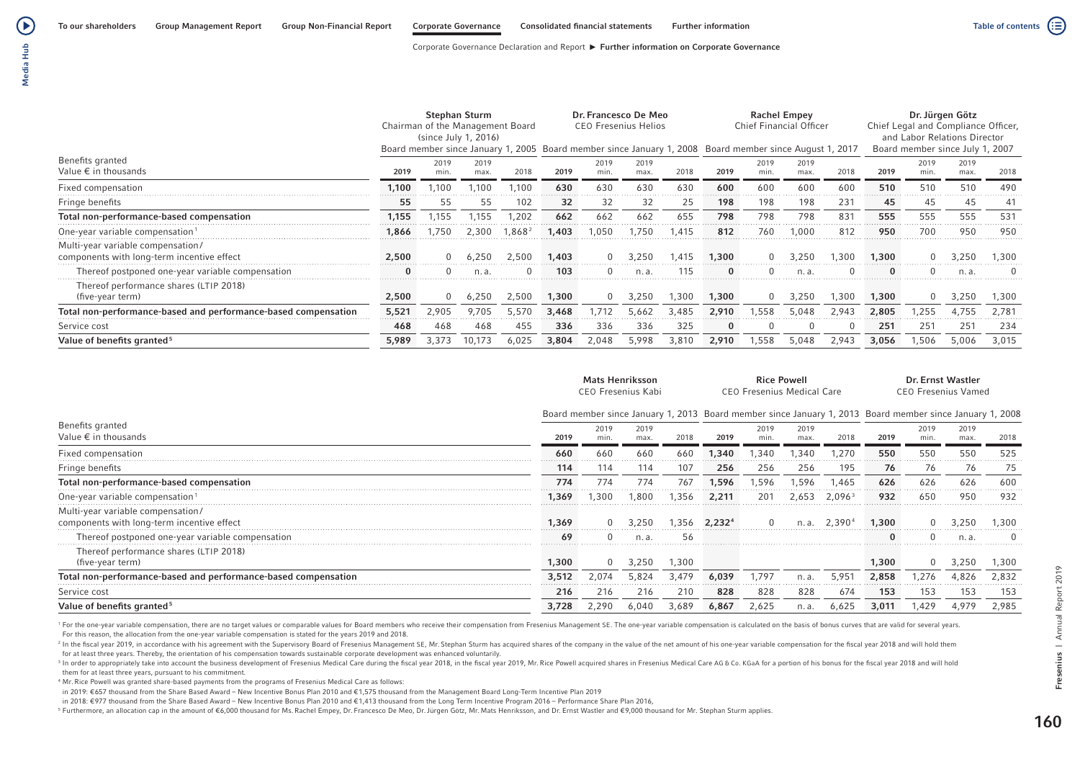Corporate Governance Declaration and Report  $\blacktriangleright$  Further information on Corporate Governance

 $\bigodot$ 

|                                                                                 | <b>Stephan Sturm</b><br>Chairman of the Management Board<br>(since July 1, 2016) |             |              |        | Dr. Francesco De Meo<br><b>CEO Fresenius Helios</b><br>Board member since January 1, 2005 Board member since January 1, 2008 Board member since August 1, 2017 |              |              |       |          | <b>Chief Financial Officer</b> | <b>Rachel Empey</b> |          | Dr. Jürgen Götz<br>Chief Legal and Compliance Officer,<br>and Labor Relations Director<br>Board member since July 1, 2007 |              |              |       |
|---------------------------------------------------------------------------------|----------------------------------------------------------------------------------|-------------|--------------|--------|----------------------------------------------------------------------------------------------------------------------------------------------------------------|--------------|--------------|-------|----------|--------------------------------|---------------------|----------|---------------------------------------------------------------------------------------------------------------------------|--------------|--------------|-------|
| Benefits granted<br>Value $\epsilon$ in thousands                               | 2019                                                                             | 2019<br>min | 2019<br>max. | 2018   | 2019                                                                                                                                                           | 2019<br>min. | 2019<br>max. | 2018  | 2019     | 2019<br>min.                   | 2019<br>max.        | 2018     | 2019                                                                                                                      | 2019<br>min. | 2019<br>max. | 2018  |
| Fixed compensation                                                              | 1.100                                                                            | .100        | .100         | .100   | 630                                                                                                                                                            | 630          | 630          | 630   | 600      | 600                            | 600                 | 600      | 510                                                                                                                       | 510          | 510          | 490   |
| Fringe benefits                                                                 | 55                                                                               | 55          | 55           | 102    | 32                                                                                                                                                             | 32           | 32           | 25    | 198      | 198                            | 198                 | 231      | 45                                                                                                                        | 45           | 45           | 41    |
| Total non-performance-based compensation                                        | 1.155                                                                            | .155        | l.155        | 1,202  | 662                                                                                                                                                            | 662          | 662          | 655   | 798      | 798                            | 798                 | 831<br>. | 555<br>.                                                                                                                  | 555          | 555          | 531   |
| One-year variable compensation <sup>1</sup>                                     | 1.866                                                                            | .750        | 2.300        | l.868ª | 1,403                                                                                                                                                          | .050         | .750         | 1.415 | 812      | 760                            | 1,000               | 812      | 950                                                                                                                       | 700          | 950          | 950   |
| Multi-year variable compensation/<br>components with long-term incentive effect | 2,500                                                                            |             | 6.250        | 2.500  | 1,403                                                                                                                                                          |              | 250ء         | .415  | 1,300    |                                | 3.250               | .300     | 1,300                                                                                                                     |              | 1.250        | 1.300 |
| Thereof postponed one-year variable compensation                                |                                                                                  |             | n. a.        |        | 103                                                                                                                                                            |              | n. a.        | 115   | $\bf{0}$ |                                | n. a.               |          |                                                                                                                           |              | n. a         |       |
| Thereof performance shares (LTIP 2018)<br>(five-year term)                      | 2,500                                                                            |             | 6,250        | 2.500  | 1,300                                                                                                                                                          |              | 3,250        | 1.300 | 1,300    |                                | 3,250               | 1.300    | 1,300                                                                                                                     |              | 3,250        | 1,300 |
| Total non-performance-based and performance-based compensation                  | 5,521                                                                            | 2.905       | 9.705        | 5.570  | 3.468                                                                                                                                                          |              | 5.662        | 3.485 | 2.910    | .558                           | 5.048               | 2.943    | 2,805                                                                                                                     | .255         | 4.755        | 2.781 |
| Service cost                                                                    | 468                                                                              | 468         | 468          | 455    | 336                                                                                                                                                            | 336          | 336          | 325   | $\bf{0}$ |                                | 0                   |          | 251                                                                                                                       | $25^{\circ}$ | 251          | 234   |
| Value of benefits granted <sup>5</sup>                                          | 5,989                                                                            | 3,373       | 10,173       | 6,025  | 3,804                                                                                                                                                          | 2,048        | 5,998        | 3,810 | 2,910    | 1,558                          | 5,048               | 2,943    | 3,056                                                                                                                     | 1,506        | 5,006        | 3.015 |

|                                                                                 |       | <b>Mats Henriksson</b><br>CEO Fresenius Kabi |              |        |                                                                                                          |              |              | CEO Fresenius Medical Care | Dr. Ernst Wastler<br><b>CEO Fresenius Vamed</b> |              |              |          |
|---------------------------------------------------------------------------------|-------|----------------------------------------------|--------------|--------|----------------------------------------------------------------------------------------------------------|--------------|--------------|----------------------------|-------------------------------------------------|--------------|--------------|----------|
|                                                                                 |       |                                              |              |        | Board member since January 1, 2013 Board member since January 1, 2013 Board member since January 1, 2008 |              |              |                            |                                                 |              |              |          |
| Benefits granted<br>Value $\epsilon$ in thousands                               | 2019  | 2019<br>min.                                 | 2019<br>max. | 2018   | 2019                                                                                                     | 2019<br>min. | 2019<br>max. | 2018                       | 2019                                            | 2019<br>min. | 2019<br>max. | 2018     |
| Fixed compensation                                                              | 660   | 660                                          | 660          | 660    | 1.340                                                                                                    | .340         | .340         | .270                       | 550<br>.                                        | 550          | 550<br>.     | 525      |
| Fringe benefits                                                                 | 114   | 114                                          | 114          | 107    | 256                                                                                                      | 256          | 256          | 195                        | 76                                              | 76           | 76           | 75       |
| Total non-performance-based compensation                                        | 774   | 774                                          | 774          | 767    | 1,596                                                                                                    | 1.596        | .596         | .465                       | 626<br>.                                        | 626<br>.     | 626<br>.     | 600<br>. |
| One-year variable compensation <sup>1</sup>                                     | 1.369 | .300                                         | .800         | .356   | 2,211                                                                                                    | 201          | 2.653        | 2,096 <sup>3</sup>         | 932                                             | 650          | 950          | 932      |
| Multi-year variable compensation/<br>components with long-term incentive effect | 1,369 |                                              | 3.250        | 356, ا | 2,2324                                                                                                   |              |              | 2.390                      | 1,300                                           |              | 3.250        | .300     |
| Thereof postponed one-year variable compensation                                | 69    |                                              | n.a.         | 56     |                                                                                                          |              |              |                            |                                                 |              | n.a          |          |
| Thereof performance shares (LTIP 2018)<br>(five-year term)                      | .300  |                                              | 3.250        | 1.300  |                                                                                                          |              |              |                            | 1,300                                           |              | 3.250        | .300     |
| Total non-performance-based and performance-based compensation                  | 3.512 | 074                                          | -824         | 3.479  | 6.039                                                                                                    | .791         |              |                            | 2,858                                           |              |              | 2.832    |
| Service cost                                                                    | 216   | 216                                          | 216          | 210    | 828                                                                                                      | 828          | 828          | 674                        | 153                                             | 153          | 153          | 153      |
| Value of benefits granted <sup>5</sup>                                          |       | 1.290                                        |              | 3.689  | 6.867                                                                                                    | 2,625        | n. a.        | 6,625                      | 3,011                                           | ,429         | 4.979        | 2.985    |

<sup>1</sup> For the one-year variable compensation, there are no target values or comparable values for Board members who receive their compensation from Fresenius Management SE. The one-year variable compensation is calculated on For this reason, the allocation from the one-year variable compensation is stated for the years 2019 and 2018.

<sup>3</sup> In order to appropriately take into account the business development of Fresenius Medical Care during the fiscal year 2018, in the fiscal year 2019, Mr. Rice Powell acquired shares in Fresenius Medical Care AG & Co. KG them for at least three years, pursuant to his commitment.

<sup>4</sup> Mr. Rice Powell was granted share-based payments from the programs of Fresenius Medical Care as follows:

in 2019: €657 thousand from the Share Based Award – New Incentive Bonus Plan 2010 and €1,575 thousand from the Management Board Long-Term Incentive Plan 2019

in 2018: €977 thousand from the Share Based Award – New Incentive Bonus Plan 2010 and €1,413 thousand from the Long Term Incentive Program 2016 – Performance Share Plan 2016,

<sup>5</sup> Furthermore, an allocation cap in the amount of €6,000 thousand for Ms. Rachel Empey, Dr. Francesco De Meo, Dr.Jürgen Götz, Mr. Mats Henriksson, and Dr. Ernst Wastler and €9,000 thousand for Mr. Stephan Sturm applies.

<sup>&</sup>lt;sup>2</sup> In the fiscal year 2019, in accordance with his agreement with the Supervisory Board of Fresenius Management SE. Mr. Stephan Sturm has acquired shares of the company in the value of the net amount of his one-year varia for at least three years. Thereby, the orientation of his compensation towards sustainable corporate development was enhanced voluntarily.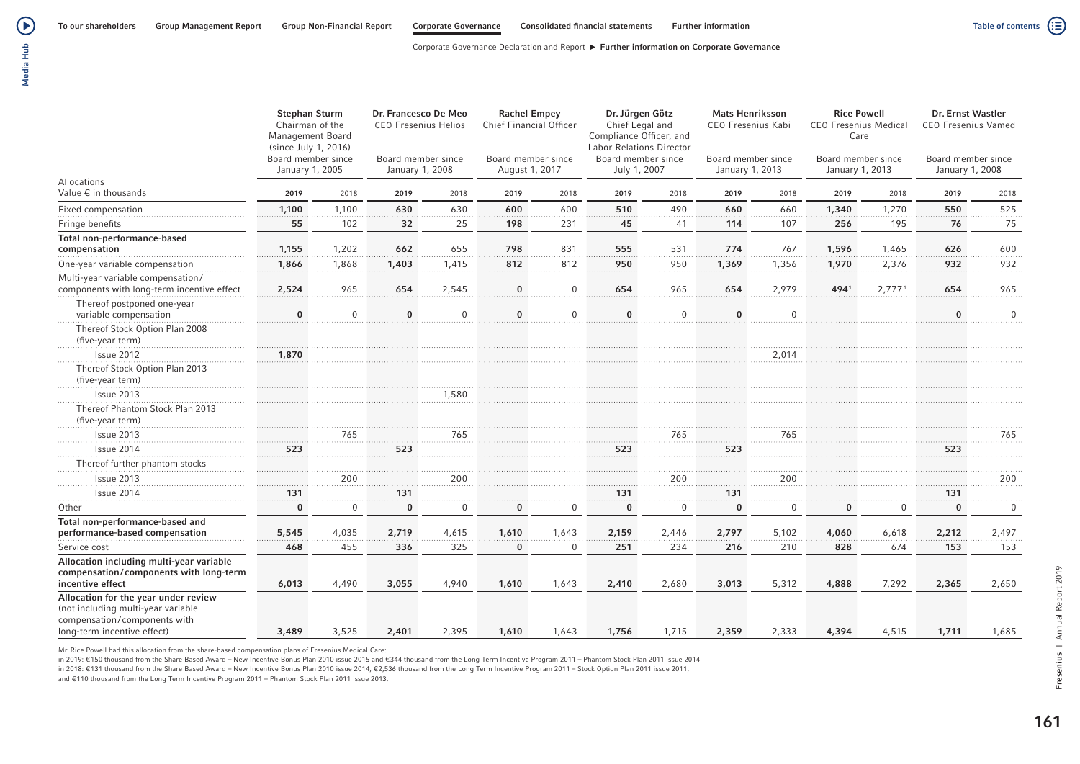Table of contents  $\left(\vdots\right)$ 

Corporate Governance Declaration and Report  $\blacktriangleright$  Further information on Corporate Governance

| Media Hut |  |
|-----------|--|
|           |  |

|                                                                                                                                           | <b>Stephan Sturm</b><br>Chairman of the<br>Management Board<br>(since July 1, 2016)<br>Board member since<br>January 1, 2005 |              | Dr. Francesco De Meo<br><b>CEO Fresenius Helios</b><br>Board member since<br>January 1, 2008 |          | <b>Rachel Empey</b><br>Chief Financial Officer<br>Board member since<br>August 1, 2017 |                | Dr. Jürgen Götz<br>Chief Legal and<br>Compliance Officer, and<br><b>Labor Relations Director</b><br>Board member since<br>July 1, 2007 |              | <b>Mats Henriksson</b><br>CEO Fresenius Kabi<br>Board member since<br>January 1, 2013 |             | <b>Rice Powell</b><br><b>CEO Fresenius Medical</b><br>Care<br>Board member since<br>January 1, 2013 |                    | Dr. Ernst Wastler<br><b>CEO Fresenius Vamed</b><br>Board member since<br>January 1, 2008 |              |
|-------------------------------------------------------------------------------------------------------------------------------------------|------------------------------------------------------------------------------------------------------------------------------|--------------|----------------------------------------------------------------------------------------------|----------|----------------------------------------------------------------------------------------|----------------|----------------------------------------------------------------------------------------------------------------------------------------|--------------|---------------------------------------------------------------------------------------|-------------|-----------------------------------------------------------------------------------------------------|--------------------|------------------------------------------------------------------------------------------|--------------|
| Allocations<br>Value € in thousands                                                                                                       | 2019                                                                                                                         | 2018         | 2019                                                                                         | 2018     | 2019                                                                                   | 2018           | 2019                                                                                                                                   | 2018         | 2019                                                                                  | 2018        | 2019                                                                                                | 2018               | 2019                                                                                     | 2018         |
| Fixed compensation                                                                                                                        | 1,100                                                                                                                        | 1,100        | 630                                                                                          | 630      | 600                                                                                    | 600            | 510                                                                                                                                    | 490          | 660                                                                                   | 660         | 1,340                                                                                               | 1,270              | 550                                                                                      | 525          |
| Fringe benefits                                                                                                                           | 55                                                                                                                           | 102          | 32                                                                                           | 25       | 198                                                                                    | 231            | 45                                                                                                                                     | 41           | 114                                                                                   | 107         | 256                                                                                                 | 195                | 76                                                                                       | 75           |
| Total non-performance-based<br>compensation                                                                                               | 1,155                                                                                                                        | 1,202        | 662                                                                                          | 655      | 798                                                                                    | 831            | 555                                                                                                                                    | 531          | 774                                                                                   | 767         | 1,596                                                                                               | 1,465              | 626                                                                                      | 600          |
| One-year variable compensation                                                                                                            | 1,866                                                                                                                        | 1,868        | 1,403                                                                                        | 1,415    | 812                                                                                    | 812            | 950                                                                                                                                    | 950          | 1,369                                                                                 | 1,356       | 1,970                                                                                               | 2,376              | 932                                                                                      | 932          |
| Multi-year variable compensation/<br>components with long-term incentive effect                                                           | 2,524                                                                                                                        | 965          | 654                                                                                          | 2,545    | $\bf{0}$                                                                               | $\mathbf 0$    | 654                                                                                                                                    | 965          | 654                                                                                   | 2,979       | 4941                                                                                                | 2,777 <sup>1</sup> | 654                                                                                      | 965          |
| Thereof postponed one-year<br>variable compensation                                                                                       | $\Omega$                                                                                                                     | $\mathbf{0}$ | $\bf{0}$                                                                                     | $\Omega$ | $\bf{0}$                                                                               | $\mathbf{0}$   | $\bf{0}$                                                                                                                               | $\mathbf 0$  | $\bf{0}$                                                                              | $\Omega$    |                                                                                                     |                    | $\mathbf{0}$                                                                             | $\Omega$     |
| Thereof Stock Option Plan 2008<br>(five-year term)                                                                                        |                                                                                                                              |              |                                                                                              |          |                                                                                        |                |                                                                                                                                        |              |                                                                                       |             |                                                                                                     |                    |                                                                                          |              |
| Issue 2012                                                                                                                                | 1,870                                                                                                                        |              |                                                                                              |          |                                                                                        |                |                                                                                                                                        |              |                                                                                       | 2,014       |                                                                                                     |                    |                                                                                          |              |
| Thereof Stock Option Plan 2013<br>(five-year term)                                                                                        |                                                                                                                              |              |                                                                                              |          |                                                                                        |                |                                                                                                                                        |              |                                                                                       |             |                                                                                                     |                    |                                                                                          |              |
| Issue 2013                                                                                                                                |                                                                                                                              |              |                                                                                              | 1,580    |                                                                                        |                |                                                                                                                                        |              |                                                                                       |             |                                                                                                     |                    |                                                                                          |              |
| Thereof Phantom Stock Plan 2013<br>(five-year term)                                                                                       |                                                                                                                              |              |                                                                                              |          |                                                                                        |                |                                                                                                                                        |              |                                                                                       |             |                                                                                                     |                    |                                                                                          |              |
| Issue 2013                                                                                                                                |                                                                                                                              | 765          |                                                                                              | 765      |                                                                                        |                |                                                                                                                                        | 765          |                                                                                       | 765         |                                                                                                     |                    |                                                                                          | 765          |
| Issue 2014                                                                                                                                | 523                                                                                                                          |              | 523                                                                                          |          |                                                                                        |                | 523                                                                                                                                    |              | 523                                                                                   |             |                                                                                                     |                    | 523                                                                                      |              |
| Thereof further phantom stocks                                                                                                            |                                                                                                                              |              |                                                                                              |          |                                                                                        |                |                                                                                                                                        |              |                                                                                       |             |                                                                                                     |                    |                                                                                          |              |
| Issue 2013                                                                                                                                |                                                                                                                              | 200          |                                                                                              | 200      |                                                                                        |                |                                                                                                                                        | 200          |                                                                                       | 200         |                                                                                                     |                    |                                                                                          | 200          |
| Issue 2014                                                                                                                                | 131                                                                                                                          |              | 131                                                                                          |          |                                                                                        |                | 131                                                                                                                                    |              | 131                                                                                   |             |                                                                                                     |                    | 131                                                                                      |              |
| Other                                                                                                                                     | $\Omega$                                                                                                                     | $\mathbf{0}$ | $\bf{0}$                                                                                     | $\Omega$ | $\mathbf{0}$                                                                           | $\overline{0}$ | $\bf{0}$                                                                                                                               | $\mathbf{0}$ | $\mathbf{0}$                                                                          | $\mathbf 0$ | $\bf{0}$                                                                                            | $\Omega$           | $\bf{0}$                                                                                 | $\mathbf{0}$ |
| Total non-performance-based and<br>performance-based compensation                                                                         | 5,545                                                                                                                        | 4,035        | 2,719                                                                                        | 4,615    | 1,610                                                                                  | 1,643          | 2,159                                                                                                                                  | 2,446        | 2,797                                                                                 | 5,102       | 4,060                                                                                               | 6,618              | 2,212                                                                                    | 2,497        |
| Service cost                                                                                                                              | 468                                                                                                                          | 455          | 336                                                                                          | 325      | $\bf{0}$                                                                               | $\mathbf 0$    | 251                                                                                                                                    | 234          | 216                                                                                   | 210         | 828                                                                                                 | 674                | 153                                                                                      | 153          |
| Allocation including multi-year variable<br>compensation/components with long-term<br>incentive effect                                    | 6,013                                                                                                                        | 4,490        | 3,055                                                                                        | 4,940    | 1,610                                                                                  | 1,643          | 2,410                                                                                                                                  | 2,680        | 3,013                                                                                 | 5,312       | 4,888                                                                                               | 7,292              | 2,365                                                                                    | 2,650        |
| Allocation for the year under review<br>(not including multi-year variable<br>compensation/components with<br>long-term incentive effect) | 3,489                                                                                                                        | 3,525        | 2,401                                                                                        | 2,395    | 1,610                                                                                  | 1,643          | 1,756                                                                                                                                  | 1,715        | 2,359                                                                                 | 2,333       | 4,394                                                                                               | 4,515              | 1,711                                                                                    | 1,685        |

Mr. Rice Powell had this allocation from the share-based compensation plans of Fresenius Medical Care:

in 2019: €150 thousand from the Share Based Award – New Incentive Bonus Plan 2010 issue 2015 and €344 thousand from the Long Term Incentive Program 2011 – Phantom Stock Plan 2011 issue 2014

in 2018: €131 thousand from the Share Based Award - New Incentive Bonus Plan 2010 issue 2014, €2,536 thousand from the Long Term Incentive Program 2011 - Stock Option Plan 2011 issue 2011,

and €110 thousand from the Long Term Incentive Program 2011 – Phantom Stock Plan 2011 issue 2013.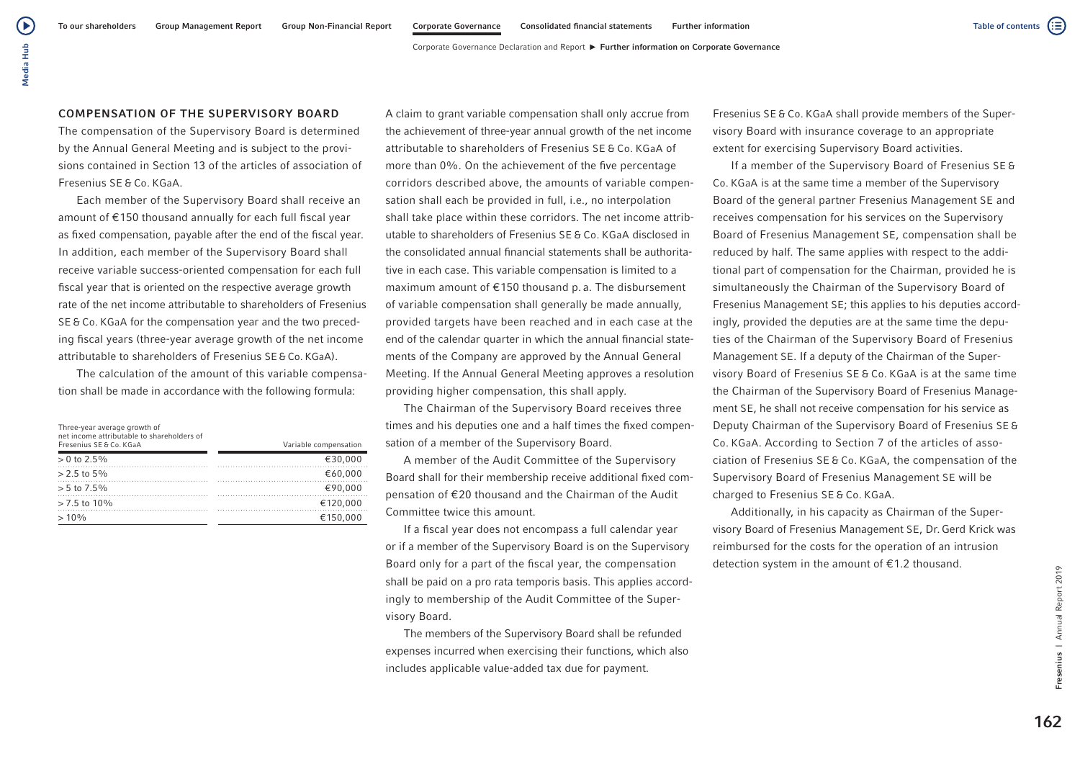# COMPENSATION OF THE SUPERVISORY BOARD

Media Hub

Media Hub

(▶

The compensation of the Supervisory Board is determined by the Annual General Meeting and is subject to the provisions contained in Section 13 of the articles of association of Fresenius SE & Co. KGaA.

Each member of the Supervisory Board shall receive an amount of €150 thousand annually for each full fiscal year as fixed compensation, payable after the end of the fiscal year. In addition, each member of the Supervisory Board shall receive variable success-oriented compensation for each full fiscal year that is oriented on the respective average growth rate of the net income attributable to shareholders of Fresenius SE & Co. KGaA for the compensation year and the two preceding fiscal years (three-year average growth of the net income attributable to shareholders of Fresenius SE & Co. KGaA).

The calculation of the amount of this variable compensation shall be made in accordance with the following formula:

| Three-year average growth of<br>net income attributable to shareholders of<br>Fresenius SE & Co. KGaA | Variable compensation |
|-------------------------------------------------------------------------------------------------------|-----------------------|
| $> 0$ to 2.5%                                                                                         | €30.000               |
| $> 2.5$ to $5\%$                                                                                      | €60.000               |
| $> 5$ to 7.5%                                                                                         | €90.000               |
| $> 7.5$ to 10%                                                                                        | €120.000              |
| $>10\%$                                                                                               | €150.000              |

A claim to grant variable compensation shall only accrue from the achievement of three-year annual growth of the net income attributable to shareholders of Fresenius SE & Co. KGaA of more than 0%. On the achievement of the five percentage corridors described above, the amounts of variable compensation shall each be provided in full, i.e., no interpolation shall take place within these corridors. The net income attributable to shareholders of Fresenius SE & Co. KGaA disclosed in the consolidated annual financial statements shall be authoritative in each case. This variable compensation is limited to a maximum amount of €150 thousand p. a. The disbursement of variable compensation shall generally be made annually, provided targets have been reached and in each case at the end of the calendar quarter in which the annual financial statements of the Company are approved by the Annual General Meeting. If the Annual General Meeting approves a resolution providing higher compensation, this shall apply.

The Chairman of the Supervisory Board receives three times and his deputies one and a half times the fixed compensation of a member of the Supervisory Board.

A member of the Audit Committee of the Supervisory Board shall for their membership receive additional fixed compensation of €20 thousand and the Chairman of the Audit Committee twice this amount.

If a fiscal year does not encompass a full calendar year or if a member of the Supervisory Board is on the Supervisory Board only for a part of the fiscal year, the compensation shall be paid on a pro rata temporis basis. This applies accordingly to membership of the Audit Committee of the Supervisory Board.

The members of the Supervisory Board shall be refunded expenses incurred when exercising their functions, which also includes applicable value-added tax due for payment.

Fresenius SE & Co. KGaA shall provide members of the Supervisory Board with insurance coverage to an appropriate extent for exercising Supervisory Board activities.

If a member of the Supervisory Board of Fresenius SE & Co. KGaA is at the same time a member of the Supervisory Board of the general partner Fresenius Management SE and receives compensation for his services on the Supervisory Board of Fresenius Management SE, compensation shall be reduced by half. The same applies with respect to the additional part of compensation for the Chairman, provided he is simultaneously the Chairman of the Supervisory Board of Fresenius Management SE; this applies to his deputies accordingly, provided the deputies are at the same time the deputies of the Chairman of the Supervisory Board of Fresenius Management SE. If a deputy of the Chairman of the Supervisory Board of Fresenius SE & Co. KGaA is at the same time the Chairman of the Supervisory Board of Fresenius Management SE, he shall not receive compensation for his service as Deputy Chairman of the Supervisory Board of Fresenius SE & Co. KGaA. According to Section 7 of the articles of association of Fresenius SE & Co. KGaA, the compensation of the Supervisory Board of Fresenius Management SE will be charged to Fresenius SE & Co. KGaA.

Additionally, in his capacity as Chairman of the Supervisory Board of Fresenius Management SE, Dr.Gerd Krick was reimbursed for the costs for the operation of an intrusion detection system in the amount of €1.2 thousand.